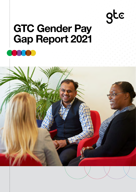# gtc

## **GTC Gender Pay Gap Report 2021**

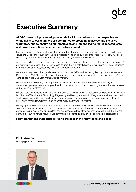## **Executive Summary**

**At GTC, we employ talented, passionate individuals, who can bring expertise and enthusiasm to our team. We are committed to providing a diverse and inclusive workforce, and to ensure all our employees and job applicants feel respected, safe, and have the confidence to be themselves at work.**

Each and every one of our employees plays a key role in the success of our business. Ensuring our culture and values are at the core of everything we do is reflected in the longevity of our employees' careers at GTC - people like working here and we ensure that hard work and the right attitude are rewarded.

We are committed to reducing our gender pay gap and ensuring we attract and recruit people from every part of our community and support our employees to achieve their full potential and feel valued and included, regardless of their gender, age, race, disability, sexuality, or social background.

We are making progress but there is more work to be done. GTC has been recognised by our employees as a Great Place to Work® for the fifth consecutive year in the Super Large Best Workplaces category, and in 2021 we were ranked in the UK's Best Workplaces for Women.

We are dedicated to helping our people realise their ambitions and have a comprehensive learning and development programme – from apprenticeship schemes and soft-skills courses, to graduate schemes, degrees, and professional qualifications.

We are improving our recruitment process, to maximise diverse attraction, application, and appointment; we have launched a STEM (Science, Technology, Engineering and Maths) Ambassador Programme, we have introduced a Work Experience and Engineering Graduate Scheme across the business; and we have recently implemented a new Hybrid Working from Home Policy to encourage a better work life balance.

Having a passionate, happy, and diverse workforce is central to our continued success as a business. We will continue to ensure we deliver on our commitment to creating a more inclusive workplace, that attracts and develops its employees, and ensures they can succeed, regardless of their gender or background. There is still plenty to do, but we remain focused and committed to becoming a truly diverse and inclusive organisation.

#### **I confirm that the statement is true to the best of my knowledge and belief**

**Paul Edwards** Managing Director - Commercial



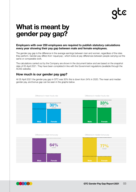## **What is meant by gender pay gap?**

#### **Employers with over 250 employees are required to publish statutory calculations every year showing their pay gap between male and female employees.**

The gender pay gap is the difference in the average earnings between men and women, regardless of the roles they perform. Gender pay differs from 'equal pay', which looks at pay differences between people carrying out the same or comparable work.

The calculations carried out by the Company are shown in the document below and are based on the snapshot date of 05 April 2021. They have been completed in line with the Government regulations (available through the ACAS website).

#### **How much is our gender pay gap?**

At 05 April 2021 the gender pay gap in GTC was 30% this is down from 34% in 2020. The mean and median gender pay, and bonus gap can be seen in the graphs below.



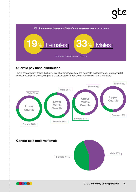# $\overline{\mathbf{c}}$

**19% of female employees and 33% of male employees received a bonus.** 



### **Quartile pay band distribution**

This is calculated by ranking the hourly rate of all employees from the highest to the lowest paid, dividing this list into four equal parts and working out the percentage of males and females in each of the four parts.





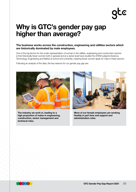# FC

### **Why is GTC's gender pay gap higher than average?**

#### **The business works across the construction, engineering and utilities sectors which are historically dominated by male employees.**

One of the big factors for the under representation of women in the utilities, engineering and construction sectors is that historically fewer women both in general and at a senior level have studied the STEM subjects (Science, Technology, Engineering and Maths) at school and university, meaning fewer women apply for roles in these sectors.

Following an analysis of the data, the key reasons for our gender pay gap are:



**The industry we work in, leading to a high proportion of males in engineering, construction, senior management and technical roles.**



**More of our female employees are working flexibly in part time and support and administration roles.**

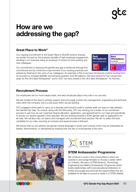06 **GTC Gender Pay Gap Report 2021**

## **How are we addressing the gap?**

### **Great Place to Work®**

Our ongoing commitment to the Great Place to Work® scheme ensures we remain focused on the business benefits of high employee engagement, resulting in our business being an employer of choice for both existing and new colleagues.

Our commitment to reducing the gender pay gap is reinforced through this commitment and by continuous improvement of our working practices and

policies by listening to the voice of our colleagues. An example of this is we have introduced a hybrid working from home policy to increase flexibility and enhance people's work life balance. We have ranked for five consecutive years for the UK's Best Workplaces™ and in 2021 we have ranked in the UK's Best Workplaces™ for Women.

### **Recruitment Process**

Our employees are our most valued asset, and each employee plays a key role in our success.

We are mindful of the need to actively support and encourage women into management, engineering and technical roles within the company, this is a key issue which we are tackling.

GTC engaged a third party to carry out a diversity and inclusion audit to actively seek out ways to help address the Gender Pay Gap. As a result, along with the third party, GTC are carrying out a review of our recruitment process to see how we can maximise diverse attraction, application, and appointment to our roles and specifically to ensure our adverts appeal to both genders. We are working towards a 50/50 gender split on applications for all roles. We will also train our teams and managers with recruitment best practice. We aim to select the best candidate for our roles, ensuring an inclusive and equal process is followed.

We ensure that our job adverts use gender neutral language to avoid word choices which may be interpreted as biased, discriminatory, or demeaning by implying that one sex or social gender is the norm.



We continue to work in the communities in which we operate to encourage females to choose a career within our industry. We have a STEM (Science, Technology, Engineering and Maths) Ambassador Programme which builds relationships with local educational institutions to further encourage and promote the opportunities that are available for females to pursue a career in a STEM related